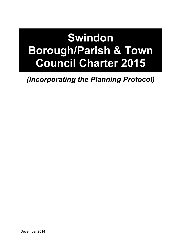# **Swindon** Borough/Parish & Town Council Charter 2015

(Incorporating the Planning Protocol)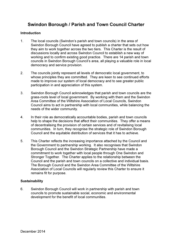### Swindon Borough / Parish and Town Council Charter

#### **Introduction**

- 1. The local councils (Swindon's parish and town councils) in the area of Swindon Borough Council have agreed to publish a charter that sets out how they aim to work together across the two tiers. This Charter is the result of discussions locally and across Swindon Council to establish a new way of working and to confirm existing good practice. There are 14 parish and town councils in Swindon Borough Council's area, all playing a valuable role in local democracy and service provision.
- 2. The councils jointly represent all levels of democratic local government, to whose principles they are committed. They are keen to see continued efforts made to improve our system of local democracy and to see greater public participation in and appreciation of this system.
- 3. Swindon Borough Council acknowledges that parish and town councils are the grass-roots level of local government. By working with them and the Swindon Area Committee of the Wiltshire Association of Local Councils, Swindon Council aims to act in partnership with local communities, while balancing the needs of the wider community.
- 4. In their role as democratically accountable bodies, parish and town councils help to shape the decisions that affect their communities. They offer a means of decentralising the provision of certain services and of revitalising local communities. In turn, they recognise the strategic role of Swindon Borough Council and the equitable distribution of services that it has to achieve.
- 5. This Charter reflects the increasing importance attached by the Council and the Government to partnership working. It also recognises that Swindon Borough Council and the Swindon Strategic Partnership have made a commitment to work together with local people through One Swindon and Stronger Together. The Charter applies to the relationship between the Council and the parish and town councils on a collective and individual basis. The Borough Council and the Swindon Area Committee of the Wiltshire Association of Local Councils will regularly review this Charter to ensure it remains fit for purpose.

#### **Sustainability**

6. Swindon Borough Council will work in partnership with parish and town councils to promote sustainable social, economic and environmental development for the benefit of local communities.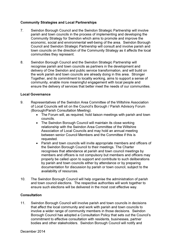#### Community Strategies and Local Partnerships

- 7. Swindon Borough Council and the Swindon Strategic Partnership will involve parish and town councils in the process of implementing and developing the Community Strategy for Swindon which aims to promote and improve the economic, social and environmental well-being of the area. Swindon Borough Council and Swindon Strategic Partnership will consult and involve parish and town councils on the direction of the Community Strategy as it affects the local communities they represent.
- 8. Swindon Borough Council and the Swindon Strategic Partnership will recognise parish and town councils as partners in the development and delivery of One Swindon and public service transformation, and will build on the work parish and town councils are already doing in this area. Stronger Together, and its commitment to locality working, aims to support a sense of community, enable more meaningful engagement with local people and ensure the delivery of services that better meet the needs of our communities.

#### Local Governance

- 9. Representatives of the Swindon Area Committee of the Wiltshire Association of Local Councils will sit on the Council's Borough / Parish Advisory Forum (Borough/Parish Consultation Meeting).
	- The Forum will, as required, hold liaison meetings with parish and town councils.
	- The Swindon Borough Council will maintain its close working relationship with the Swindon Area Committee of the Wiltshire Association of Local Councils and may hold an annual meeting between senior Council Members and the Committee if this is requested.
	- Parish and town councils will invite appropriate members and officers of the Swindon Borough Council to their meetings. The Charter recognises that attendance at parish and town council meetings by members and officers is not compulsory but members and officers may properly be called upon to support and contribute to such deliberations by parish and town councils either by attendance or by preparing documentation for discussion by parish or town council, subject to the availability of resources.
- 10. The Swindon Borough Council will help organise the administration of parish and town council elections. The respective authorities will work together to ensure such elections will be delivered in the most cost effective way.

#### **Consultation**

11. Swindon Borough Council will involve parish and town councils in decisions that affect the local community and work with parish and town councils to involve a wider range of community members in those decisions. Swindon Borough Council has adopted a Consultation Policy that sets out the Council's commitment to effective consultation with residents, businesses, partner bodies and other stakeholders. Swindon Borough Council will notify and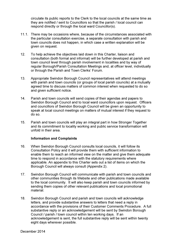circulate its public reports to the Clerk to the local councils at the same time as they are notified / sent to Councillors so that the parish / local council can respond directly or through the local ward Councillor(s).

- 11.1. There may be occasions where, because of the circumstances associated with the particular consultation exercise, a separate consultation with parish and town councils does not happen, in which case a written explanation will be given on request.
- 12. To help achieve the objectives laid down in this Charter, liaison and consultation (both formal and informal) will be further developed at parish and town council level through parish involvement in localities and by way of regular Borough/Parish Consultation Meetings and, at officer level, individually or through the Parish and Town Clerks' Forum.
- 13. Appropriate Swindon Borough Council representatives will attend meetings with parish and town councils (or groups of local parish councils) at a mutually agreed time to discuss matters of common interest when requested to do so and given sufficient notice.
- 14. Parish and town councils will send copies of their agendas and papers to Swindon Borough Council and to local ward councillors upon request. Officers and councillors of Swindon Borough Council will be given an opportunity to speak at local council meetings on matters of mutual interest if they request to do so.
- 15. Parish and town councils will play an integral part in how Stronger Together and its commitment to locality working and public service transformation will unfold in their area.

#### Information and Complaints

- 16. When Swindon Borough Council consults local councils, it will follow its Consultation Policy and it will provide them with sufficient information to enable them to reach an informed view on the matter and give them adequate time to respond in accordance with the statutory requirements where applicable. An appendix to this Charter sets out a list of items on which the Borough Council will always consult (Appendix 2).
- 17. Swindon Borough Council will communicate with parish and town councils and other communities through its Website and other publications made available to the local community. It will also keep parish and town councils informed by sending them copies of other relevant publications and local promotional material.
- 18. Swindon Borough Council and parish and town councils will acknowledge letters, and provide substantive answers to letters that need a reply in accordance with the provisions of their Customer Comments Procedure. A full substantive reply or an acknowledgement will be sent by Swindon Borough Council / parish / town council within ten working days. If an acknowledgement is sent, the full substantive reply will be sent within twenty eight days wherever possible.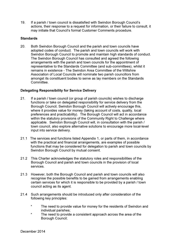19. If a parish / town council is dissatisfied with Swindon Borough Council's actions, their response to a request for information, or their failure to consult, it may initiate that Council's formal Customer Comments procedure.

#### **Standards**

20. Both Swindon Borough Council and the parish and town councils have adopted codes of conduct. The parish and town councils will work with Swindon Borough Council to promote and maintain high standards of conduct. The Swindon Borough Council has consulted and agreed the following arrangements with the parish and town councils for the appointment of representative to the Standards Committee (and sub-committees), whilst it remains in existence - The Swindon Area Committee of the Wiltshire Association of Local Councils will nominate two parish councillors from amongst its constituent bodies to serve as lay members on the Standards **Committee.** 

#### Delegating Responsibility for Service Delivery

- 21. If a parish / town council (or group of parish councils) wishes to discharge functions or take on delegated responsibility for service delivery from the Borough Council, Swindon Borough Council will actively encourage this, where it provides value for money (taking account of costs, quality, local preferences and practicability). The Borough Council will act in accordance within the statutory provisions of the Community Right to Challenge where applicable. Swindon Borough Council will, in consultation with the parish / town council, also explore alternative solutions to encourage more local-level input into service delivery.
- 21.1 The services and functions listed Appendix 1, or parts of them, in accordance with the practical and financial arrangements, are examples of possible functions that may be considered for delegation to parish and town councils by Swindon Borough Council by mutual consent.
- 21.2 This Charter acknowledges the statutory roles and responsibilities of the Borough Council and parish and town councils in the provision of local services.
- 21.3 However, both the Borough Council and parish and town councils will also recognise the possible benefits to be gained from arrangements enabling certain services for which it is responsible to be provided by a parish / town council acting as its agent.
- 21.4 Such arrangements should be introduced only after consideration of the following key principles:
	- \* The need to provide value for money for the residents of Swindon and individual parishes;
	- \* The need to provide a consistent approach across the area of the Borough Council;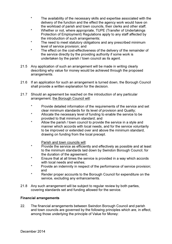- \* The availability of the necessary skills and expertise associated with the delivery of the function and the effect the agency work would have on the workload of parish and town councils, their clerks and other staff;
- \* Whether or not, where appropriate, TUPE (Transfer of Undertakings Protection of Employment) Regulations apply to any staff affected by the introduction of such arrangements;
- \* The need to meet statutory obligations and any prescribed minimum level of service provision; and
- \* The effect on the cost-effectiveness of the delivery of the remainder of the service directly by the providing authority if some work is undertaken by the parish / town council as its agent.
- 21.5 Any application of such an arrangement will be made in writing clearly describing why value for money would be achieved through the proposed arrangements.
- 21.6 If an application for such an arrangement is turned down, the Borough Council shall provide a written explanation for the decision.
- 21.7 Should an agreement be reached on the introduction of any particular arrangement, the Borough Council will:
	- \* Provide detailed information of the requirements of the service and set clear minimum standards for its level of provision and Quality;
	- \* Allocate the necessary level of funding to enable the service to be provided to that minimum standard; and
	- \* Allow the parish / town council to provide the service in a style and manner which accords with local needs, and for the service voluntarily to be improved or extended over and above the minimum standard, drawing on funding from the local precept.
		- Parish and town councils will:
	- \* Provide the service as efficiently and effectively as possible and at least to the minimum standards laid down by Swindon Borough Council, for the duration of the agreement;
	- \* Ensure that at all times the service is provided in a way which accords with local needs and wishes:
	- \* Provide an indemnity in respect of the performance of service provision; and
	- \* Render proper accounts to the Borough Council for expenditure on the service, excluding any enhancements.
- 21.8 Any such arrangement will be subject to regular review by both parties, covering standards set and funding allowed for the service.

#### Financial arrangements

22. The financial arrangements between Swindon Borough Council and parish and town councils are governed by the following principles which are, in effect, among those underlying the principle of Value for Money: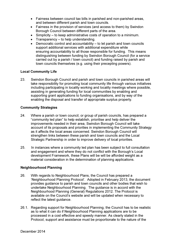- Fairness between council tax bills in parished and non-parished areas, and between different parish and town councils.
- Fairness in the provision of services (and access to them) by Swindon Borough Council between different parts of the area.
- Simplicity to keep administrative costs of operation to a minimum.
- Transparency to help understanding.
- Democratic control and accountability to let parish and town councils support additional services with additional expenditure while ensuring accountability to all those responsible for funding. This means distinguishing between funding by Swindon Borough Council (for a service carried out by a parish / town council) and funding raised by parish and town councils themselves (e.g. using their precepting powers).

#### Local Community Life

23. Swindon Borough Council and parish and town councils in parished areas will take responsibility for promoting local community life through various initiatives including participating in locality working and locality meetings where possible, assisting in generating funding for local communities by enabling and supporting grant applications to funding organisations, and by way of the enabling the disposal and transfer of appropriate surplus property.

#### Community Strategies

- 24. Where a parish or town council, or group of parish councils, has prepared a "community led plan" to help establish, prioritise and help deliver the improvements needed in their area, Swindon Borough Council will take account of its proposals and priorities in implementing the Community Strategy as it affects the local areas concerned. Swindon Borough Council will strengthen links between these parish and town councils and the Local Strategic Partnership in order to improve delivery of local priorities.
- 25. In instances where a community led plan has been subject to full consultation and engagement and where they do not conflict with the Borough's Local development Framework, these Plans will be will be afforded weight as a material consideration in the determination of planning applications.

#### Neighbourhood Planning

- 26. With regards to Neighbourhood Plans, the Council has prepared a 'Neighbourhood Planning Protocol'. Adopted in February 2013, the document provides guidance to parish and town councils and other bodies that wish to undertake Neighbourhood Planning. The guidance is in accord with the Neighbourhood Planning (General) Regulations 2012. The Protocol is available on the Council's website and will be updated when necessary to reflect the latest guidance.
- 26.1. Regarding support for Neighbourhood Planning, the Council has to be realistic as to what it can do if Neighbourhood Planning applications are to be processed in a cost effective and speedy manner. As clearly stated in the Protocol, support and assistance must be proportionate to the nature of the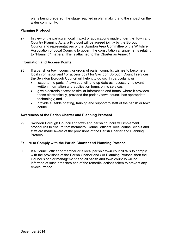plans being prepared, the stage reached in plan making and the impact on the wider community.

#### Planning Protocol

27. In view of the particular local impact of applications made under the Town and Country Planning Acts, a Protocol will be agreed jointly by the Borough Council and representatives of the Swindon Area Committee of the Wiltshire Association of Local Councils to govern the consultation arrangements relating to "Planning" matters. This is attached to this Charter as Annex 1.

#### Information and Access Points

- 28. If a parish or town council, or group of parish councils, wishes to become a local information and / or access point for Swindon Borough Council services the Swindon Borough Council will help it to do so. In particular it will:
	- issue to the parish / town council, and up-date as necessary, relevant written information and application forms on its services;
	- give electronic access to similar information and forms, where it provides these electronically, provided the parish / town council has appropriate technology; and
	- provide suitable briefing, training and support to staff of the parish or town council.

#### Awareness of the Parish Charter and Planning Protocol

29. Swindon Borough Council and town and parish councils will implement procedures to ensure that members, Council officers, local council clerks and staff are made aware of the provisions of the Parish Charter and Planning Protocol.

#### Failure to Comply with the Parish Charter and Planning Protocol

30. If a Council officer or member or a local parish / town council fails to comply with the provisions of the Parish Charter and / or Planning Protocol then the Council's senior management and all parish and town councils will be informed of such breaches and of the remedial actions taken to prevent any re-occurrence.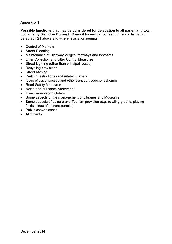#### Appendix 1

Possible functions that may be considered for delegation to all parish and town councils by Swindon Borough Council by mutual consent (in accordance with paragraph 21 above and where legislation permits)

- Control of Markets
- Street Cleaning
- Maintenance of Highway Verges, footways and footpaths
- Litter Collection and Litter Control Measures
- Street Lighting (other than principal routes)
- Recycling provisions
- Street naming
- Parking restrictions (and related matters)
- Issue of travel passes and other transport voucher schemes
- Road Safety Measures
- Noise and Nuisance Abatement
- Tree Preservation Orders
- Some aspects of the management of Libraries and Museums
- Some aspects of Leisure and Tourism provision (e.g. bowling greens, playing fields, issue of Leisure permits)
- Public conveniences
- Allotments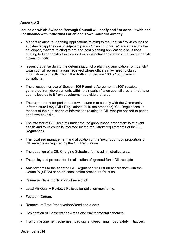#### Appendix 2

#### Issues on which Swindon Borough Council will notify and / or consult with and / or discuss with individual Parish and Town Councils directly

- Matters relating to Planning Applications relating to their parish / town council or substantial applications in adjacent parish / town councils. Where agreed by the developer, matters relating to pre and post planning application discussions relating to their parish / town council or substantial applications in adjacent parish / town councils.
- Issues that arise during the determination of a planning application from parish / town council representations received where officers may need to clarify information to directly inform the drafting of Section 106 (s106) planning obligations.
- The allocation or use of Section 106 Planning Agreement (s106) receipts generated from developments within their parish / town council area or that have been allocated to it from development outside that area.
- The requirement for parish and town councils to comply with the Community Infrastructure Levy (CIL) Regulations 2010 (as amended) 'CIL Regulations' in respect of the publication of information relating to CIL receipts passed to parish and town councils.
- The transfer of CIL Receipts under the 'neighbourhood proportion' to relevant parish and town councils informed by the regulatory requirements of the CIL Regulations.
- The localised management and allocation of the 'neighbourhood proportion' of CIL receipts as required by the CIL Regulations.
- The adoption of a CIL Charging Schedule for its administrative area.
- The policy and process for the allocation of 'general fund' CIL receipts.
- Amendments to the adopted CIL Regulation 123 list (in accordance with the Council's (SBCs) adopted consultation procedure for such.
- Drainage Plans (notification of receipt of).
- Local Air Quality Review / Policies for pollution monitoring.
- Footpath Orders.
- Removal of Tree Preservation/Woodland orders.
- Designation of Conservation Areas and environmental schemes.
- Traffic management schemes, road signs, speed limits, road safety initiatives.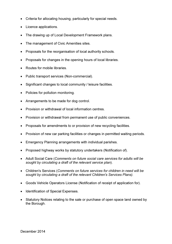- Criteria for allocating housing, particularly for special needs.
- Licence applications.
- The drawing up of Local Development Framework plans.
- The management of Civic Amenities sites.
- Proposals for the reorganisation of local authority schools.
- Proposals for changes in the opening hours of local libraries.
- Routes for mobile libraries.
- Public transport services (Non-commercial).
- Significant changes to local community / leisure facilities.
- Policies for pollution monitoring.
- Arrangements to be made for dog control.
- Provision or withdrawal of local information centres.
- Provision or withdrawal from permanent use of public conveniences.
- Proposals for amendments to or provision of new recycling facilities.
- Provision of new car parking facilities or changes in permitted waiting periods.
- Emergency Planning arrangements with individual parishes.
- Proposed highway works by statutory undertakers (Notification of).
- Adult Social Care (*Comments on future social care services for adults will be sought by circulating a draft of the relevant service plan*).
- Children's Services (*Comments on future services for children in need will be sought by circulating a draft of the relevant Children's Services Plans).*
- Goods Vehicle Operators License (Notification of receipt of application for).
- Identification of Special Expenses.
- Statutory Notices relating to the sale or purchase of open space land owned by the Borough.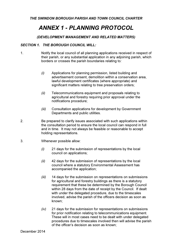## ANNEX 1 - PLANNING PROTOCOL

#### *(DEVELOPMENT MANAGEMENT AND RELATED MATTERS)*

#### *SECTION 1. THE BOROUGH COUNCIL WILL:*

- 1. Notify the local council of all planning applications received in respect of their parish, or any substantial application in any adjoining parish, which borders or crosses the parish boundaries relating to*:* 
	- *(i)* Applications for planning permission, listed building and advertisement consent, demolition within a conservation area, lawful development certificates (where appropriate) and significant matters relating to tree preservation orders;
	- *(ii)* Telecommunications equipment and proposals relating to agricultural and forestry requiring prior approval under the notifications procedure;
	- *(iii)* Consultation applications for development by Government Departments and public utilities.
- 2. Be prepared to clarify issues associated with such applications within the consultation period to ensure the local council can respond in full and in time. It may not always be feasible or reasonable to accept holding representations.
- 3. Whenever possible allow:
	- *(i)* 21 days for the submission of representations by the local council on applications;
	- *(ii)* 42 days for the submission of representations by the local council where a statutory Environmental Assessment has accompanied the application;
	- *(iii)* 14 days for the submission on representations on submissions for agricultural and forestry buildings as there is a statutory requirement that these be determined by the Borough Council within 28 days from the date of receipt by the Council. If dealt with under the delegated procedure, due to the timescales involved, advise the parish of the officers decision as soon as known;
	- *(iv)* 21 days for the submission for representations on submissions for prior notification relating to telecommunications equipment. These will in most cases need to be dealt with under delegated procedures due to timescales involved then will advise the parish of the officer's decision as soon as known;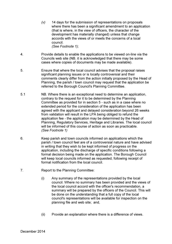- *(v)* 14 days for the submission of representations on proposals where there has been a significant amendment to an application (that is where, in the view of officers, the character of the development has materially changed) unless that change accords with the views of or meets the concerns of a local council. *(See Footnote 1);*
- 4. Provide details to enable the applications to be viewed on-line via the Councils web site (NB. it is acknowledged that there may be some cases where copies of documents may be made available).
- 5. Ensure that where the local council advises that the proposal raises significant planning issues or is locally controversial and their comments clearly differ from the action initially proposed by the Head of Planning, the parish / town council may request that the application be referred to the Borough Council's Planning Committee.
- 5.1 NB. Where there is an exceptional need to determine an application, contrary to the request for it to be determined by the Planning Committee as provided for in section 5 - such as in a case where no extended period for the consideration of the application has been agreed with the applicant and delayed consideration beyond 26 weeks from validation will result in the LPA being obliged to refund the application fee - the application may be determined by the Head of Planning, Regulatory Services, Heritage and Libraries. The local council will be informed of this course of action as soon as practicable. *(See Footnote 1)*
- 6. Keep parish and town councils informed on applications which the parish / town council feel are of a controversial nature and have advised in writing that they wish to be kept informed of progress on the application, including the discharge of specific conditions following a formal decision being made on the application. The Borough Council will keep local councils informed as requested, following receipt of formal notification from the local council.
- 7. Report to the Planning Committee:
	- (i) Any summary of the representations provided by the local council. Where no summary has been provided and the views of the local council accord with the officer's recommendation, a summary will be prepared by the officers of the Council. This will be done on the understanding that a full copy of the local council's representations will be available for inspection on the planning file and web site; and,
	- (ii) Provide an explanation where there is a difference of views.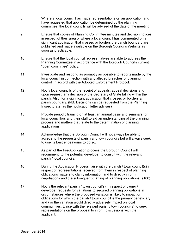- 8. Where a local council has made representations on an application and have requested that application be determined by the planning committee, the local councils will be advised of the date of the meeting.
- 9. Ensure that copies of Planning Committee minutes and decision notices in respect of their area or where a local council has commented on a significant application that crosses or borders the parish boundary are published and made available on the Borough Council's Website as soon as practicable.
- 10. Ensure that the local council representatives are able to address the Planning Committee in accordance with the Borough Council's current "open committee" policy.
- 11. Investigate and respond as promptly as possible to reports made by the local council in connection with any alleged breaches of planning control, in accord with the Adopted Enforcement Protocol.
- 12. Notify local councils of the receipt of appeals, appeal decisions and upon request, any decision of the Secretary of State falling within the parish. Also, for a significant application that crosses or borders a parish boundary. (NB. Decisions can be requested from the Planning Inspectorate, as the notification letter advises)
- 13. Provide periodic training on at least an annual basis and seminars for local councillors and their staff to aid an understanding of the planning process and matters that relate to the determination of planning applications.
- 14. Acknowledge that the Borough Council will not always be able to accede to the requests of parish and town councils but will always seek to use its best endeavours to do so.
- 15. As part of the Pre-Application process the Borough Council will recommend to the potential developer to consult with the relevant parish / local councils.
- 16. During the Application Process liaise with the parish / town council(s) in respect of representations received from them in respect of planning obligations matters to clarify information and to directly inform negotiations and the subsequent drafting of planning obligations (s106).
- 17. Notify the relevant parish / town council(s) in respect of owner / developer requests for variations to secured planning obligations in circumstances where the proposed variation is likely to impact on obligations for which the parish / town council is the primary beneficiary and / or the variation would directly adversely impact on local communities. Liaise with the relevant parish / town council(s) to seek representations on the proposal to inform discussions with the applicant.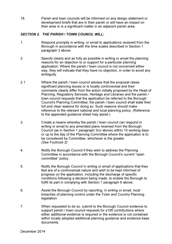18. Parish and town councils will be informed on any design statement or development briefs that are in their parish or will have an impact on their area or is a significant matter in an adjacent parish area.

#### *SECTION 2. THE PARISH / TOWN COUNCIL WILL:*

- 1. Respond promptly in writing, or email to applications received from the Borough in accordance with the time scales described in Section 1 paragraph 3 above.
- 2. Specify clearly and as fully as possible in writing or email the planning reasons for an objection to or support for a particular planning application. Where the parish / town council is not concerned either way, they will indicate that they have no objection, in order to avoid any ambiguity.
- 2.1 Where the parish / town council advises that the proposal raises significant planning issues or is locally controversial and their comments clearly differ from the action initially proposed by the Head of Planning, Regulatory Services, Heritage and Libraries and the parish / town council requests that the application be referred to the Borough Council's Planning Committee, the parish / town council shall state their full and clear reasons for doing so. Such reasons should make reference to the relevant national and local planning policy. (Reference to the appended guidance sheet may assist.)
- 3. Create a means whereby the parish / town council can respond in writing or email to any amended plans received from the Borough Council (as in Section 1 paragraph 3(v) above) within 10 working days or up to the day of the Planning Committee where the application is to be considered by Committee, whichever is the greater. *(See Footnote 2)*
- 4. Notify the Borough Council if they wish to address the Planning Committee in accordance with the Borough Council's current "open committee" policy.
- 5. Notify the Borough Council in writing or email of applications that they feel are of a controversial nature and wish to be kept informed of progress on the application, including the discharge of specific conditions following a decision being made, to enable the Borough to fulfill its part in complying with Section 1 paragraph 6 above.
- 6. Assist the Borough Council by reporting, in writing or email, local breaches of planning control under the Town and Country Planning legislation.
- 7. When requested to do so, submit to the Borough Council evidence to support parish / town council requests for s106 contributions where either additional evidence is required or the evidence is not contained within locally adopted additional planning guidance and evidence base documents.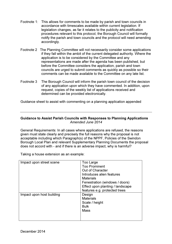- Footnote 1: This allows for comments to be made by parish and town councils in accordance with timescales available within current legislation. If legislation changes, as far it relates to the publicity and notification procedures relevant to this protocol, the Borough Council will formally notify the parish and town councils and the protocol will need amending accordingly.
- Footnote 2 The Planning Committee will not necessarily consider some applications if they fall within the ambit of the current delegated authority. Where the application is to be considered by the Committee and any representations are made after the agenda has been published, but before the Committee considers the application, parish and town councils are urged to submit comments as quickly as possible so their comments can be made available to the Committee on any late list.
- Footnote 3 The Borough Council will inform the parish town council of the decision of any application upon which they have commented. In addition, upon request, copies of the weekly list of applications received and determined can be provided electronically.

Guidance sheet to assist with commenting on a planning application appended

#### Guidance to Assist Parish Councils with Responses to Planning Applications *Amended June 2014*

General Requirements: In all cases where applications are refused, the reasons given must state clearly and precisely the full reasons why the proposal is not acceptable including which Paragraph(s) of the NPPF, Policies of the Swindon Borough Local Plan and relevant Supplementary Planning Documents the proposal does not accord with - and if there is an adverse impact, why is harmful?

Taking a house extension as an example:

| Impact upon street scene  | Too Large<br><b>Too Prominent</b><br>Out of Character<br>Introduces alien features<br><b>Materials</b><br>Fenestration (windows / doors)<br>Effect upon planting / landscape<br>features e.g. protected trees |
|---------------------------|---------------------------------------------------------------------------------------------------------------------------------------------------------------------------------------------------------------|
| Impact upon host building | Design<br><b>Materials</b><br>Scale / height<br><b>Bulk</b><br><b>Mass</b>                                                                                                                                    |